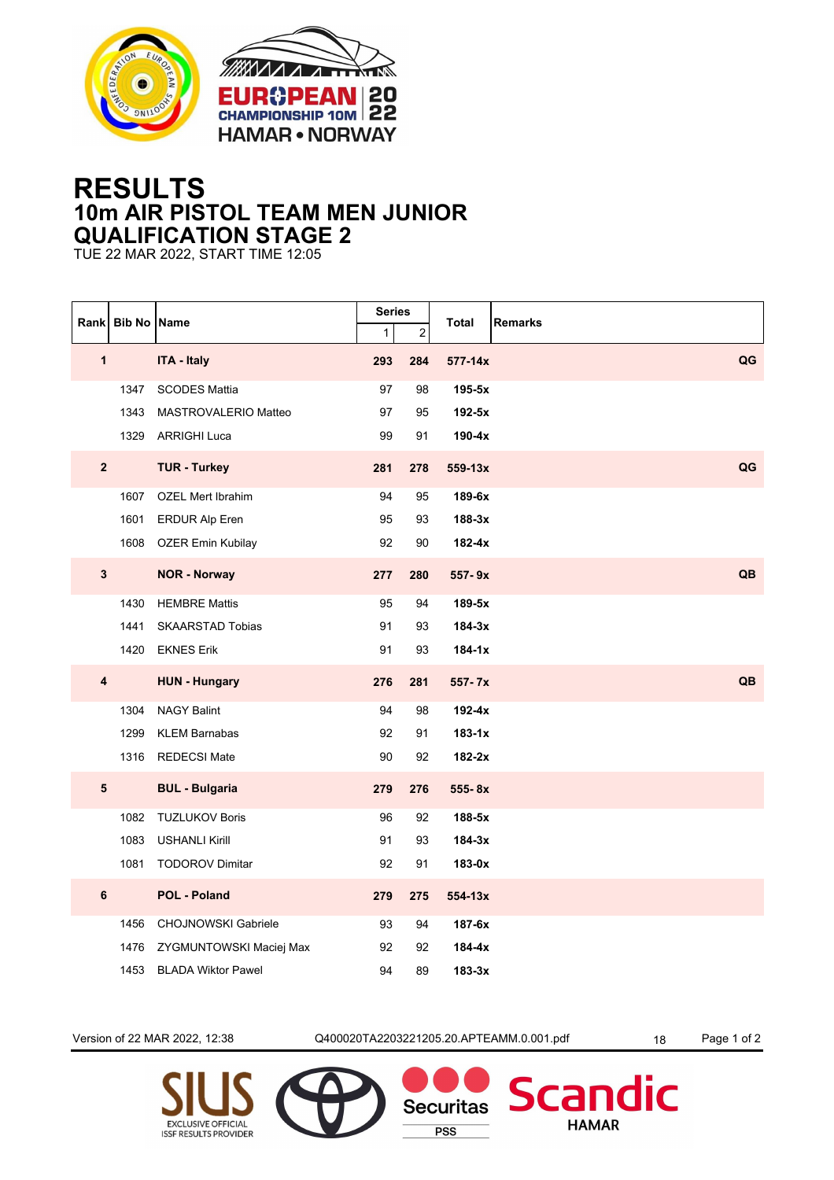



## **RESULTS 10m AIR PISTOL TEAM MEN JUNIOR QUALIFICATION STAGE 2**

TUE 22 MAR 2022, START TIME 12:05

|                | Rank Bib No Name |                            | <b>Series</b><br>$\mathbf{1}$ | $\overline{c}$ | Total<br><b>Remarks</b> |    |
|----------------|------------------|----------------------------|-------------------------------|----------------|-------------------------|----|
| $\mathbf{1}$   |                  | <b>ITA - Italy</b>         | 293                           | 284            | $577 - 14x$             | QG |
|                | 1347             | <b>SCODES Mattia</b>       | 97                            | 98             | 195-5x                  |    |
|                | 1343             | MASTROVALERIO Matteo       | 97                            | 95             | 192-5x                  |    |
|                | 1329             | <b>ARRIGHI Luca</b>        | 99                            | 91             | $190-4x$                |    |
| $\overline{2}$ |                  | <b>TUR - Turkey</b>        | 281                           | 278            | $559-13x$               | QG |
|                | 1607             | <b>OZEL Mert Ibrahim</b>   | 94                            | 95             | 189-6x                  |    |
|                | 1601             | <b>ERDUR Alp Eren</b>      | 95                            | 93             | 188-3x                  |    |
|                | 1608             | <b>OZER Emin Kubilay</b>   | 92                            | $90\,$         | $182 - 4x$              |    |
| $\mathbf{3}$   |                  | <b>NOR - Norway</b>        | 277                           | 280            | 557-9x                  | QB |
|                | 1430             | <b>HEMBRE Mattis</b>       | 95                            | 94             | 189-5x                  |    |
|                | 1441             | <b>SKAARSTAD Tobias</b>    | 91                            | 93             | $184-3x$                |    |
|                | 1420             | <b>EKNES Erik</b>          | 91                            | 93             | 184-1x                  |    |
| 4              |                  | <b>HUN - Hungary</b>       | 276                           | 281            | 557-7x                  | QB |
|                | 1304             | <b>NAGY Balint</b>         | 94                            | 98             | $192-4x$                |    |
|                | 1299             | <b>KLEM Barnabas</b>       | 92                            | 91             | $183-1x$                |    |
|                |                  | 1316 REDECSI Mate          | 90                            | 92             | 182-2x                  |    |
| 5              |                  | <b>BUL - Bulgaria</b>      | 279                           | 276            | 555-8x                  |    |
|                | 1082             | <b>TUZLUKOV Boris</b>      | 96                            | 92             | 188-5x                  |    |
|                | 1083             | <b>USHANLI Kirill</b>      | 91                            | 93             | $184-3x$                |    |
|                | 1081             | <b>TODOROV Dimitar</b>     | 92                            | 91             | 183-0x                  |    |
| $\bf 6$        |                  | <b>POL - Poland</b>        | 279                           | 275            | $554 - 13x$             |    |
|                | 1456             | <b>CHOJNOWSKI Gabriele</b> | 93                            | 94             | 187-6x                  |    |
|                | 1476             | ZYGMUNTOWSKI Maciej Max    | 92                            | 92             | $184-4x$                |    |
|                | 1453             | <b>BLADA Wiktor Pawel</b>  | 94                            | 89             | $183-3x$                |    |

Version of 22 MAR 2022, 12:38 Q400020TA2203221205.20.APTEAMM.0.001.pdf 18 Page 1 of 2

**Securitas** 

**PSS** 

dic

**Scan** 

**HAMAR**